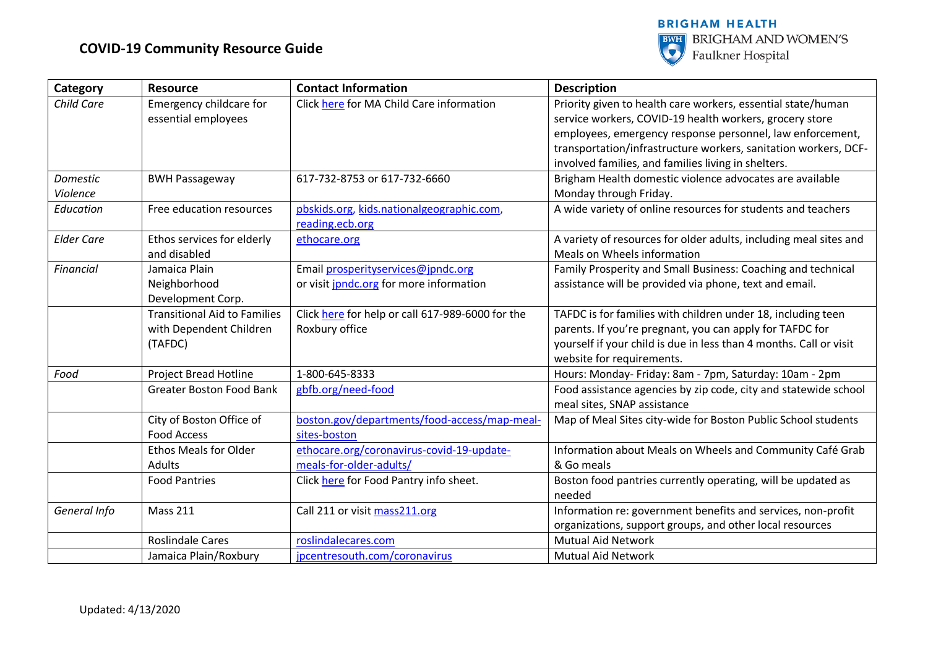

| Category          | <b>Resource</b>                     | <b>Contact Information</b>                       | <b>Description</b>                                                 |
|-------------------|-------------------------------------|--------------------------------------------------|--------------------------------------------------------------------|
| Child Care        | <b>Emergency childcare for</b>      | Click here for MA Child Care information         | Priority given to health care workers, essential state/human       |
|                   | essential employees                 |                                                  | service workers, COVID-19 health workers, grocery store            |
|                   |                                     |                                                  | employees, emergency response personnel, law enforcement,          |
|                   |                                     |                                                  | transportation/infrastructure workers, sanitation workers, DCF-    |
|                   |                                     |                                                  | involved families, and families living in shelters.                |
| Domestic          | <b>BWH Passageway</b>               | 617-732-8753 or 617-732-6660                     | Brigham Health domestic violence advocates are available           |
| Violence          |                                     |                                                  | Monday through Friday.                                             |
| Education         | Free education resources            | pbskids.org, kids.nationalgeographic.com,        | A wide variety of online resources for students and teachers       |
|                   |                                     | reading.ecb.org                                  |                                                                    |
| <b>Elder Care</b> | Ethos services for elderly          | ethocare.org                                     | A variety of resources for older adults, including meal sites and  |
|                   | and disabled                        |                                                  | Meals on Wheels information                                        |
| <b>Financial</b>  | Jamaica Plain                       | Email prosperityservices@jpndc.org               | Family Prosperity and Small Business: Coaching and technical       |
|                   | Neighborhood                        | or visit jpndc.org for more information          | assistance will be provided via phone, text and email.             |
|                   | Development Corp.                   |                                                  |                                                                    |
|                   | <b>Transitional Aid to Families</b> | Click here for help or call 617-989-6000 for the | TAFDC is for families with children under 18, including teen       |
|                   | with Dependent Children             | Roxbury office                                   | parents. If you're pregnant, you can apply for TAFDC for           |
|                   | (TAFDC)                             |                                                  | yourself if your child is due in less than 4 months. Call or visit |
|                   |                                     |                                                  | website for requirements.                                          |
| Food              | <b>Project Bread Hotline</b>        | 1-800-645-8333                                   | Hours: Monday- Friday: 8am - 7pm, Saturday: 10am - 2pm             |
|                   | <b>Greater Boston Food Bank</b>     | gbfb.org/need-food                               | Food assistance agencies by zip code, city and statewide school    |
|                   |                                     |                                                  | meal sites, SNAP assistance                                        |
|                   | City of Boston Office of            | boston.gov/departments/food-access/map-meal-     | Map of Meal Sites city-wide for Boston Public School students      |
|                   | <b>Food Access</b>                  | sites-boston                                     |                                                                    |
|                   | <b>Ethos Meals for Older</b>        | ethocare.org/coronavirus-covid-19-update-        | Information about Meals on Wheels and Community Café Grab          |
|                   | <b>Adults</b>                       | meals-for-older-adults/                          | & Go meals                                                         |
|                   | <b>Food Pantries</b>                | Click here for Food Pantry info sheet.           | Boston food pantries currently operating, will be updated as       |
|                   |                                     |                                                  | needed                                                             |
| General Info      | <b>Mass 211</b>                     | Call 211 or visit mass211.org                    | Information re: government benefits and services, non-profit       |
|                   |                                     |                                                  | organizations, support groups, and other local resources           |
|                   | <b>Roslindale Cares</b>             | roslindalecares.com                              | <b>Mutual Aid Network</b>                                          |
|                   | Jamaica Plain/Roxbury               | jpcentresouth.com/coronavirus                    | <b>Mutual Aid Network</b>                                          |